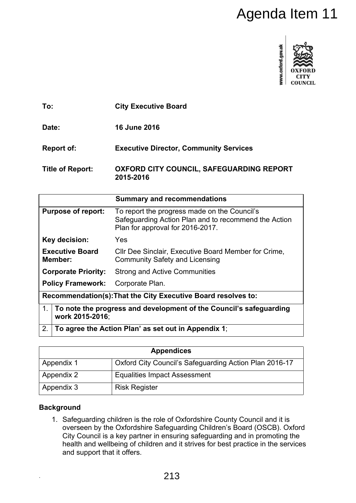

|                                   | Agenda Item 11                                                                                                                                                                                                                                                                                                               |
|-----------------------------------|------------------------------------------------------------------------------------------------------------------------------------------------------------------------------------------------------------------------------------------------------------------------------------------------------------------------------|
|                                   | www.oxford.gov.uk<br>COUNCIL                                                                                                                                                                                                                                                                                                 |
| To:                               | <b>City Executive Board</b>                                                                                                                                                                                                                                                                                                  |
| Date:                             | <b>16 June 2016</b>                                                                                                                                                                                                                                                                                                          |
| <b>Report of:</b>                 | <b>Executive Director, Community Services</b>                                                                                                                                                                                                                                                                                |
| <b>Title of Report:</b>           | <b>OXFORD CITY COUNCIL, SAFEGUARDING REPORT</b><br>2015-2016                                                                                                                                                                                                                                                                 |
|                                   | <b>Summary and recommendations</b>                                                                                                                                                                                                                                                                                           |
| <b>Purpose of report:</b>         | To report the progress made on the Council's<br>Safeguarding Action Plan and to recommend the Action<br>Plan for approval for 2016-2017.                                                                                                                                                                                     |
| Key decision:                     | Yes                                                                                                                                                                                                                                                                                                                          |
| <b>Executive Board</b><br>Member: | CIIr Dee Sinclair, Executive Board Member for Crime,<br><b>Community Safety and Licensing</b>                                                                                                                                                                                                                                |
| <b>Corporate Priority:</b>        | <b>Strong and Active Communities</b>                                                                                                                                                                                                                                                                                         |
| <b>Policy Framework:</b>          | Corporate Plan.                                                                                                                                                                                                                                                                                                              |
|                                   | Recommendation(s): That the City Executive Board resolves to:                                                                                                                                                                                                                                                                |
| 1 <sub>1</sub><br>work 2015-2016; | To note the progress and development of the Council's safeguarding                                                                                                                                                                                                                                                           |
| 2.                                | To agree the Action Plan' as set out in Appendix 1;                                                                                                                                                                                                                                                                          |
|                                   | <b>Appendices</b>                                                                                                                                                                                                                                                                                                            |
| Appendix 1                        | Oxford City Council's Safeguarding Action Plan 2016-17                                                                                                                                                                                                                                                                       |
| <b>Appendix 2</b>                 | <b>Equalities Impact Assessment</b>                                                                                                                                                                                                                                                                                          |
| Appendix 3                        | <b>Risk Register</b>                                                                                                                                                                                                                                                                                                         |
| <b>Background</b>                 |                                                                                                                                                                                                                                                                                                                              |
| and support that it offers.       | 1. Safeguarding children is the role of Oxfordshire County Council and it is<br>overseen by the Oxfordshire Safeguarding Children's Board (OSCB). Oxford<br>City Council is a key partner in ensuring safeguarding and in promoting the<br>health and wellbeing of children and it strives for best practice in the services |
|                                   | 213                                                                                                                                                                                                                                                                                                                          |

| <b>Appendices</b> |                                                        |  |
|-------------------|--------------------------------------------------------|--|
| Appendix 1        | Oxford City Council's Safeguarding Action Plan 2016-17 |  |
| Appendix 2        | <b>Equalities Impact Assessment</b>                    |  |
| Appendix 3        | <b>Risk Register</b>                                   |  |

# **Background**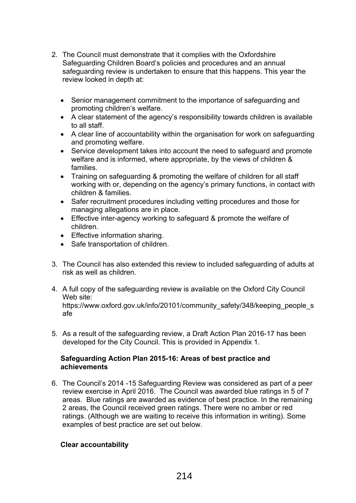- 2. The Council must demonstrate that it complies with the Oxfordshire Safeguarding Children Board's policies and procedures and an annual safeguarding review is undertaken to ensure that this happens. This year the review looked in depth at:
	- Senior management commitment to the importance of safeguarding and promoting children's welfare.
	- A clear statement of the agency's responsibility towards children is available to all staff.
	- A clear line of accountability within the organisation for work on safeguarding and promoting welfare.
	- Service development takes into account the need to safeguard and promote welfare and is informed, where appropriate, by the views of children & families.
	- Training on safeguarding & promoting the welfare of children for all staff working with or, depending on the agency's primary functions, in contact with children & families.
	- Safer recruitment procedures including vetting procedures and those for managing allegations are in place.
	- Effective inter-agency working to safeguard & promote the welfare of children.
	- Effective information sharing.
	- Safe transportation of children.
- 3. The Council has also extended this review to included safeguarding of adults at risk as well as children.
- 4. A full copy of the safeguarding review is available on the Oxford City Council Web site: https://www.oxford.gov.uk/info/20101/community\_safety/348/keeping\_people\_s afe
- 5. As a result of the safeguarding review, a Draft Action Plan 2016-17 has been developed for the City Council. This is provided in Appendix 1.

#### **Safeguarding Action Plan 2015-16: Areas of best practice and achievements**

6. The Council's 2014 -15 Safeguarding Review was considered as part of a peer review exercise in April 2016. The Council was awarded blue ratings in 5 of 7 areas. Blue ratings are awarded as evidence of best practice. In the remaining 2 areas, the Council received green ratings. There were no amber or red ratings. (Although we are waiting to receive this information in writing). Some examples of best practice are set out below.

# **Clear accountability**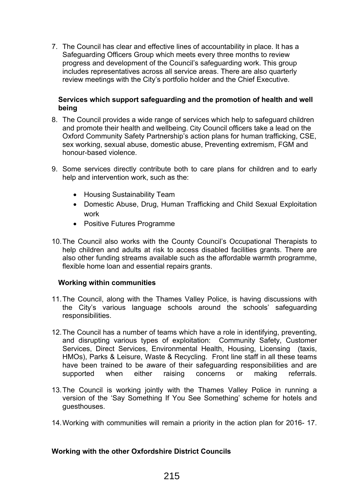7. The Council has clear and effective lines of accountability in place. It has a Safeguarding Officers Group which meets every three months to review progress and development of the Council's safeguarding work. This group includes representatives across all service areas. There are also quarterly review meetings with the City's portfolio holder and the Chief Executive.

#### **Services which support safeguarding and the promotion of health and well being**

- 8. The Council provides a wide range of services which help to safeguard children and promote their health and wellbeing. City Council officers take a lead on the Oxford Community Safety Partnership's action plans for human trafficking, CSE, sex working, sexual abuse, domestic abuse, Preventing extremism, FGM and honour-based violence.
- 9. Some services directly contribute both to care plans for children and to early help and intervention work, such as the:
	- Housing Sustainability Team
	- Domestic Abuse, Drug, Human Trafficking and Child Sexual Exploitation work
	- Positive Futures Programme
- 10.The Council also works with the County Council's Occupational Therapists to help children and adults at risk to access disabled facilities grants. There are also other funding streams available such as the affordable warmth programme, flexible home loan and essential repairs grants.

#### **Working within communities**

- 11.The Council, along with the Thames Valley Police, is having discussions with the City's various language schools around the schools' safeguarding responsibilities.
- 12.The Council has a number of teams which have a role in identifying, preventing, and disrupting various types of exploitation: Community Safety, Customer Services, Direct Services, Environmental Health, Housing, Licensing (taxis, HMOs), Parks & Leisure, Waste & Recycling. Front line staff in all these teams have been trained to be aware of their safeguarding responsibilities and are supported when either raising concerns or making referrals.
- 13.The Council is working jointly with the Thames Valley Police in running a version of the 'Say Something If You See Something' scheme for hotels and guesthouses.
- 14.Working with communities will remain a priority in the action plan for 2016- 17.

#### **Working with the other Oxfordshire District Councils**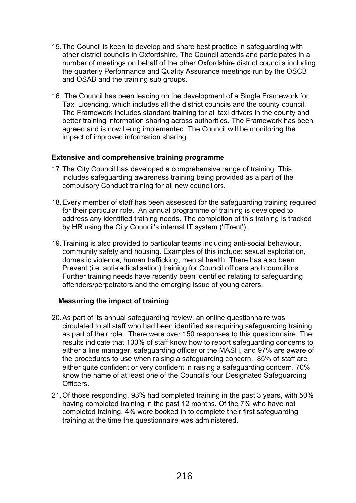- 15.The Council is keen to develop and share best practice in safeguarding with other district councils in Oxfordshire**.** The Council attends and participates in a number of meetings on behalf of the other Oxfordshire district councils including the quarterly Performance and Quality Assurance meetings run by the OSCB and OSAB and the training sub groups.
- 16. The Council has been leading on the development of a Single Framework for Taxi Licencing, which includes all the district councils and the county council. The Framework includes standard training for all taxi drivers in the county and better training information sharing across authorities. The Framework has been agreed and is now being implemented. The Council will be monitoring the impact of improved information sharing.

## **Extensive and comprehensive training programme**

- 17.The City Council has developed a comprehensive range of training. This includes safeguarding awareness training being provided as a part of the compulsory Conduct training for all new councillors.
- 18.Every member of staff has been assessed for the safeguarding training required for their particular role. An annual programme of training is developed to address any identified training needs. The completion of this training is tracked by HR using the City Council's internal IT system ('iTrent').
- 19.Training is also provided to particular teams including anti-social behaviour, community safety and housing. Examples of this include: sexual exploitation, domestic violence, human trafficking, mental health. There has also been Prevent (i.e. anti-radicalisation) training for Council officers and councillors. Further training needs have recently been identified relating to safeguarding offenders/perpetrators and the emerging issue of young carers.

# **Measuring the impact of training**

- 20.As part of its annual safeguarding review, an online questionnaire was circulated to all staff who had been identified as requiring safeguarding training as part of their role. There were over 150 responses to this questionnaire. The results indicate that 100% of staff know how to report safeguarding concerns to either a line manager, safeguarding officer or the MASH, and 97% are aware of the procedures to use when raising a safeguarding concern. 85% of staff are either quite confident or very confident in raising a safeguarding concern. 70% know the name of at least one of the Council's four Designated Safeguarding **Officers**
- 21.Of those responding, 93% had completed training in the past 3 years, with 50% having completed training in the past 12 months. Of the 7% who have not completed training, 4% were booked in to complete their first safeguarding training at the time the questionnaire was administered.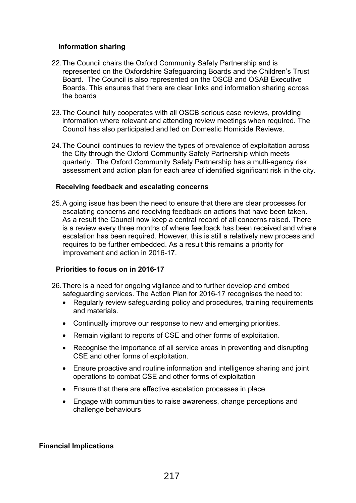## **Information sharing**

- 22.The Council chairs the Oxford Community Safety Partnership and is represented on the Oxfordshire Safeguarding Boards and the Children's Trust Board. The Council is also represented on the OSCB and OSAB Executive Boards. This ensures that there are clear links and information sharing across the boards
- 23.The Council fully cooperates with all OSCB serious case reviews, providing information where relevant and attending review meetings when required. The Council has also participated and led on Domestic Homicide Reviews.
- 24.The Council continues to review the types of prevalence of exploitation across the City through the Oxford Community Safety Partnership which meets quarterly. The Oxford Community Safety Partnership has a multi-agency risk assessment and action plan for each area of identified significant risk in the city.

## **Receiving feedback and escalating concerns**

25.A going issue has been the need to ensure that there are clear processes for escalating concerns and receiving feedback on actions that have been taken. As a result the Council now keep a central record of all concerns raised. There is a review every three months of where feedback has been received and where escalation has been required. However, this is still a relatively new process and requires to be further embedded. As a result this remains a priority for improvement and action in 2016-17.

# **Priorities to focus on in 2016-17**

- 26.There is a need for ongoing vigilance and to further develop and embed safeguarding services. The Action Plan for 2016-17 recognises the need to:
	- Regularly review safeguarding policy and procedures, training requirements and materials.
	- Continually improve our response to new and emerging priorities.
	- Remain vigilant to reports of CSE and other forms of exploitation.
	- Recognise the importance of all service areas in preventing and disrupting CSE and other forms of exploitation.
	- Ensure proactive and routine information and intelligence sharing and joint operations to combat CSE and other forms of exploitation
	- Ensure that there are effective escalation processes in place
	- Engage with communities to raise awareness, change perceptions and challenge behaviours

# **Financial Implications**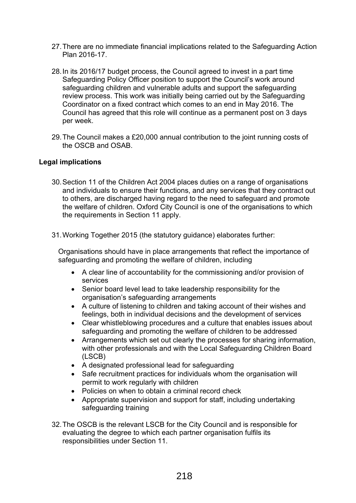- 27.There are no immediate financial implications related to the Safeguarding Action Plan 2016-17.
- 28.In its 2016/17 budget process, the Council agreed to invest in a part time Safeguarding Policy Officer position to support the Council's work around safeguarding children and vulnerable adults and support the safeguarding review process. This work was initially being carried out by the Safeguarding Coordinator on a fixed contract which comes to an end in May 2016. The Council has agreed that this role will continue as a permanent post on 3 days per week.
- 29.The Council makes a £20,000 annual contribution to the joint running costs of the OSCB and OSAB.

## **Legal implications**

- 30.Section 11 of the Children Act 2004 places duties on a range of organisations and individuals to ensure their functions, and any services that they contract out to others, are discharged having regard to the need to safeguard and promote the welfare of children. Oxford City Council is one of the organisations to which the requirements in Section 11 apply.
- 31.Working Together 2015 (the statutory guidance) elaborates further:

Organisations should have in place arrangements that reflect the importance of safeguarding and promoting the welfare of children, including

- A clear line of accountability for the commissioning and/or provision of services
- Senior board level lead to take leadership responsibility for the organisation's safeguarding arrangements
- A culture of listening to children and taking account of their wishes and feelings, both in individual decisions and the development of services
- Clear whistleblowing procedures and a culture that enables issues about safeguarding and promoting the welfare of children to be addressed
- Arrangements which set out clearly the processes for sharing information, with other professionals and with the Local Safeguarding Children Board (LSCB)
- A designated professional lead for safeguarding
- Safe recruitment practices for individuals whom the organisation will permit to work regularly with children
- Policies on when to obtain a criminal record check
- Appropriate supervision and support for staff, including undertaking safeguarding training
- 32.The OSCB is the relevant LSCB for the City Council and is responsible for evaluating the degree to which each partner organisation fulfils its responsibilities under Section 11.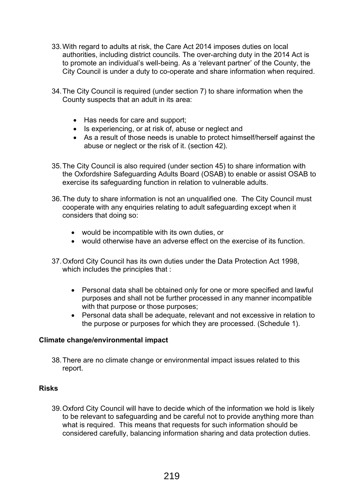- 33.With regard to adults at risk, the Care Act 2014 imposes duties on local authorities, including district councils. The over-arching duty in the 2014 Act is to promote an individual's well-being. As a 'relevant partner' of the County, the City Council is under a duty to co-operate and share information when required.
- 34.The City Council is required (under section 7) to share information when the County suspects that an adult in its area:
	- Has needs for care and support;
	- Is experiencing, or at risk of, abuse or neglect and
	- As a result of those needs is unable to protect himself/herself against the abuse or neglect or the risk of it. (section 42).
- 35.The City Council is also required (under section 45) to share information with the Oxfordshire Safeguarding Adults Board (OSAB) to enable or assist OSAB to exercise its safeguarding function in relation to vulnerable adults.
- 36.The duty to share information is not an unqualified one. The City Council must cooperate with any enquiries relating to adult safeguarding except when it considers that doing so:
	- would be incompatible with its own duties, or
	- would otherwise have an adverse effect on the exercise of its function.
- 37.Oxford City Council has its own duties under the Data Protection Act 1998, which includes the principles that :
	- Personal data shall be obtained only for one or more specified and lawful purposes and shall not be further processed in any manner incompatible with that purpose or those purposes;
	- Personal data shall be adequate, relevant and not excessive in relation to the purpose or purposes for which they are processed. (Schedule 1).

# **Climate change/environmental impact**

38.There are no climate change or environmental impact issues related to this report.

# **Risks**

39.Oxford City Council will have to decide which of the information we hold is likely to be relevant to safeguarding and be careful not to provide anything more than what is required. This means that requests for such information should be considered carefully, balancing information sharing and data protection duties.